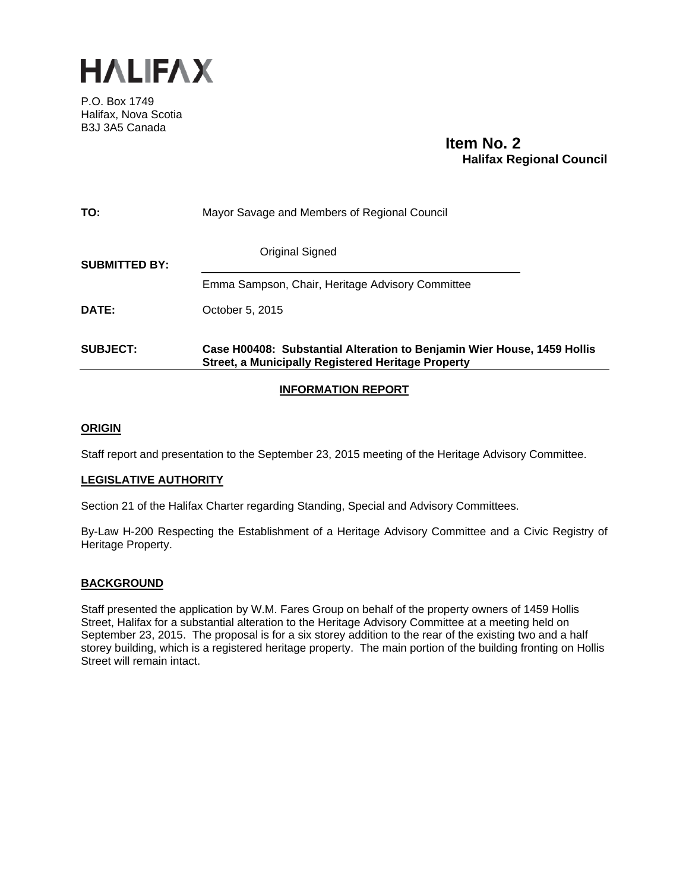

P.O. Box 1749 Halifax, Nova Scotia B3J 3A5 Canada

# **Item No. 2 Halifax Regional Council**

| <b>SUBJECT:</b>      | Case H00408: Substantial Alteration to Benjamin Wier House, 1459 Hollis<br><b>Street, a Municipally Registered Heritage Property</b> |
|----------------------|--------------------------------------------------------------------------------------------------------------------------------------|
| DATE:                | October 5, 2015                                                                                                                      |
|                      | Emma Sampson, Chair, Heritage Advisory Committee                                                                                     |
| <b>SUBMITTED BY:</b> | <b>Original Signed</b>                                                                                                               |
| TO:                  | Mayor Savage and Members of Regional Council                                                                                         |

# **INFORMATION REPORT**

## **ORIGIN**

Staff report and presentation to the September 23, 2015 meeting of the Heritage Advisory Committee.

### **LEGISLATIVE AUTHORITY**

Section 21 of the Halifax Charter regarding Standing, Special and Advisory Committees.

By-Law H-200 Respecting the Establishment of a Heritage Advisory Committee and a Civic Registry of Heritage Property.

# **BACKGROUND**

Staff presented the application by W.M. Fares Group on behalf of the property owners of 1459 Hollis Street, Halifax for a substantial alteration to the Heritage Advisory Committee at a meeting held on September 23, 2015. The proposal is for a six storey addition to the rear of the existing two and a half storey building, which is a registered heritage property. The main portion of the building fronting on Hollis Street will remain intact.